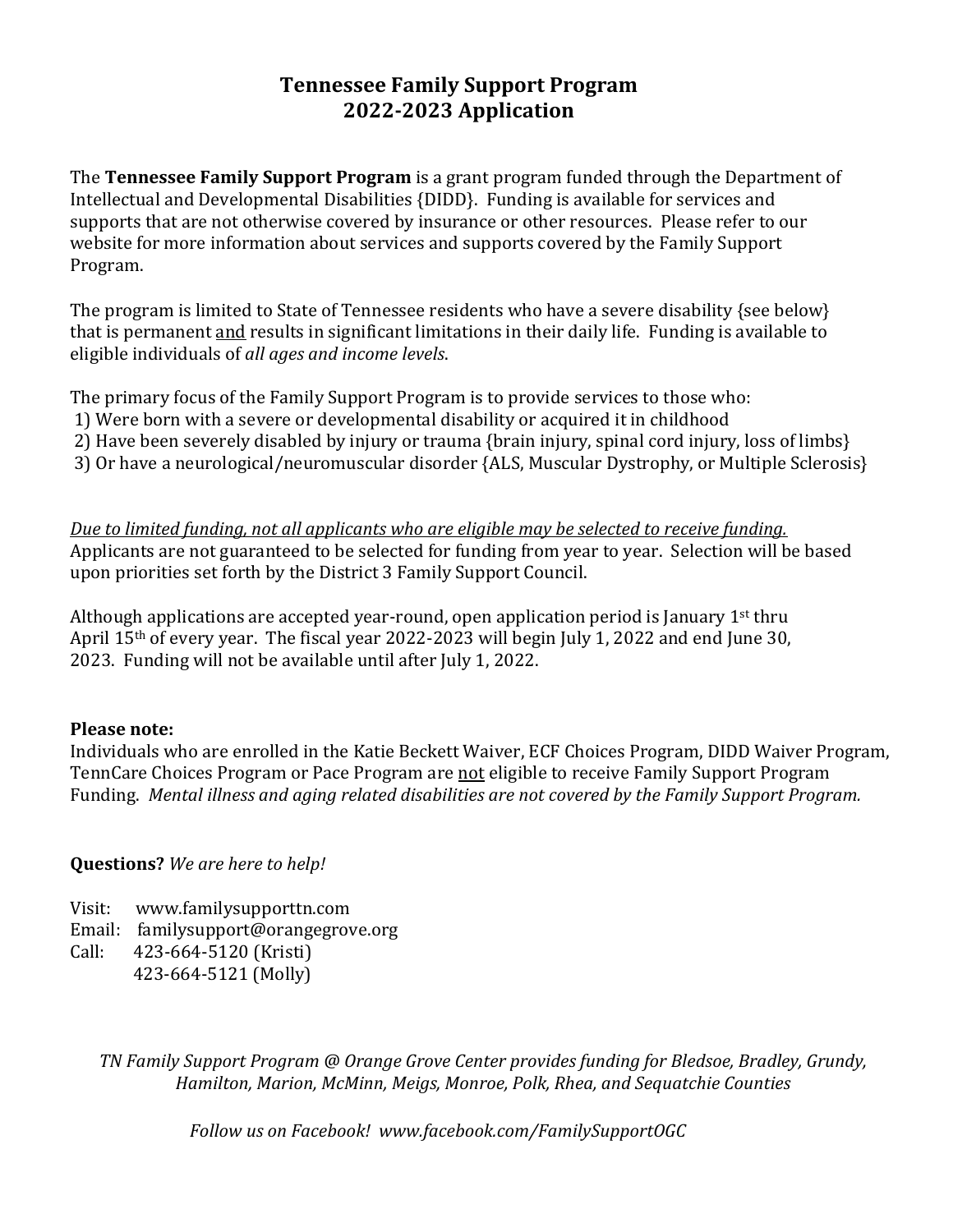## **Tennessee Family Support Program 2022-2023 Application**

The **Tennessee Family Support Program** is a grant program funded through the Department of Intellectual and Developmental Disabilities {DIDD}. Funding is available for services and supports that are not otherwise covered by insurance or other resources. Please refer to our website for more information about services and supports covered by the Family Support Program.

The program is limited to State of Tennessee residents who have a severe disability {see below} that is permanent and results in significant limitations in their daily life. Funding is available to eligible individuals of *all ages and income levels*.

The primary focus of the Family Support Program is to provide services to those who:

- 1) Were born with a severe or developmental disability or acquired it in childhood
- 2) Have been severely disabled by injury or trauma {brain injury, spinal cord injury, loss of limbs}
- 3) Or have a neurological/neuromuscular disorder {ALS, Muscular Dystrophy, or Multiple Sclerosis}

*Due to limited funding, not all applicants who are eligible may be selected to receive funding.* Applicants are not guaranteed to be selected for funding from year to year. Selection will be based upon priorities set forth by the District 3 Family Support Council.

Although applications are accepted year-round, open application period is January  $1<sup>st</sup>$  thru April 15th of every year. The fiscal year 2022-2023 will begin July 1, 2022 and end June 30, 2023. Funding will not be available until after July 1, 2022.

#### **Please note:**

Individuals who are enrolled in the Katie Beckett Waiver, ECF Choices Program, DIDD Waiver Program, TennCare Choices Program or Pace Program are not eligible to receive Family Support Program Funding.*Mental illness and aging related disabilities are not covered by the Family Support Program.*

#### **Questions?** *We are here to help!*

- Visit: www.familysupporttn.com
- Email: familysupport@orangegrove.org
- Call: 423-664-5120 (Kristi) 423-664-5121 (Molly)

*TN Family Support Program @ Orange Grove Center provides funding for Bledsoe, Bradley, Grundy, Hamilton, Marion, McMinn, Meigs, Monroe, Polk, Rhea, and Sequatchie Counties*

*Follow us on Facebook! www.facebook.com/FamilySupportOGC*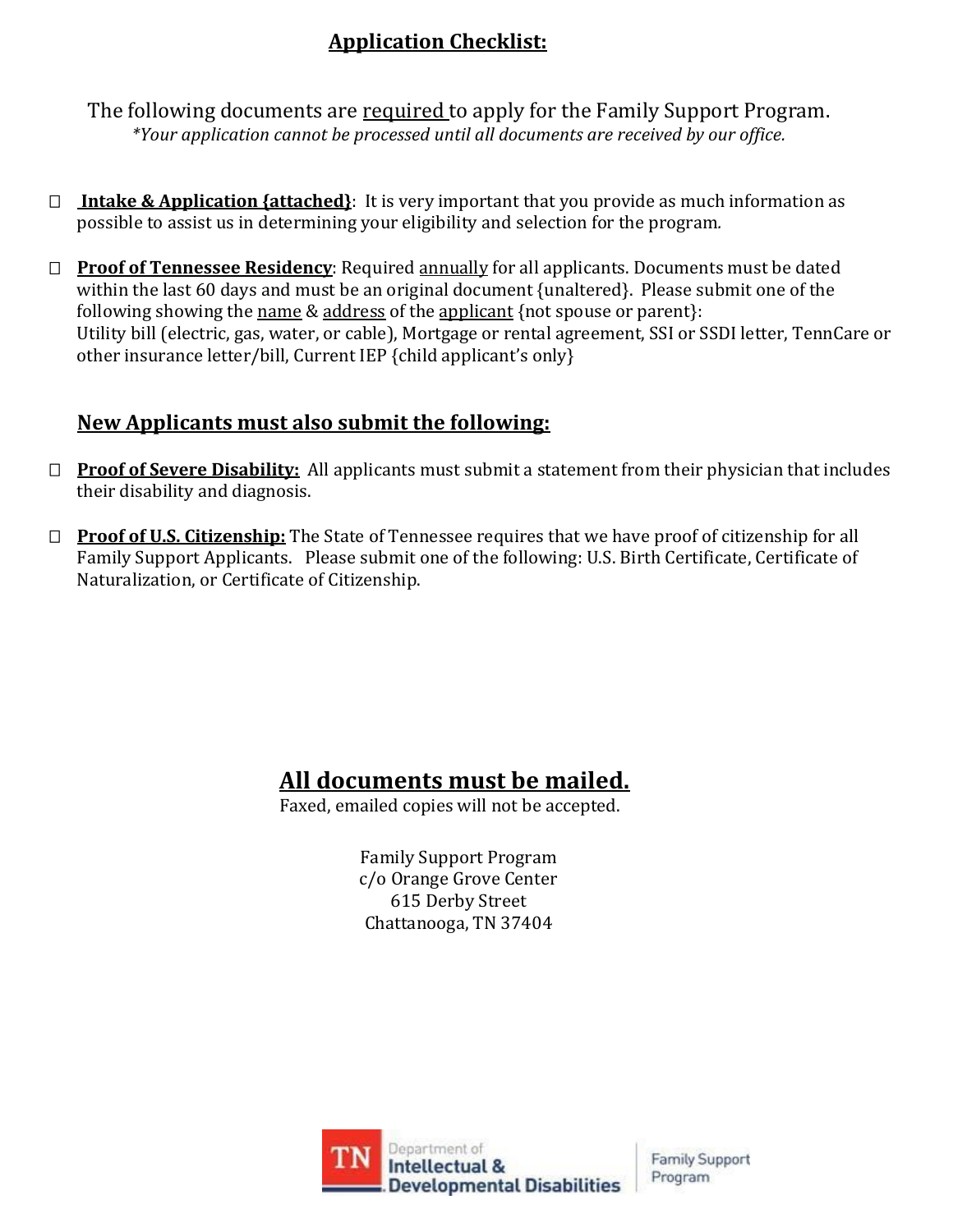# **Application Checklist:**

The following documents are required to apply for the Family Support Program. *\*Your application cannot be processed until all documents are received by our office.*

- **Intake & Application {attached}**: It is very important that you provide as much information as possible to assist us in determining your eligibility and selection for the program*.*
- **Proof of Tennessee Residency**: Required annually for all applicants. Documents must be dated within the last 60 days and must be an original document {unaltered}. Please submit one of the following showing the name & address of the applicant {not spouse or parent}: Utility bill (electric, gas, water, or cable), Mortgage or rental agreement, SSI or SSDI letter, TennCare or other insurance letter/bill, Current IEP {child applicant's only}

# **New Applicants must also submit the following:**

- □ **Proof of Severe Disability:** All applicants must submit a statement from their physician that includes their disability and diagnosis.
- **Proof of U.S. Citizenship:** The State of Tennessee requires that we have proof of citizenship for all Family Support Applicants. Please submit one of the following: U.S. Birth Certificate, Certificate of Naturalization, or Certificate of Citizenship.

# **All documents must be mailed.**

Faxed, emailed copies will not be accepted.

Family Support Program c/o Orange Grove Center 615 Derby Street Chattanooga, TN 37404

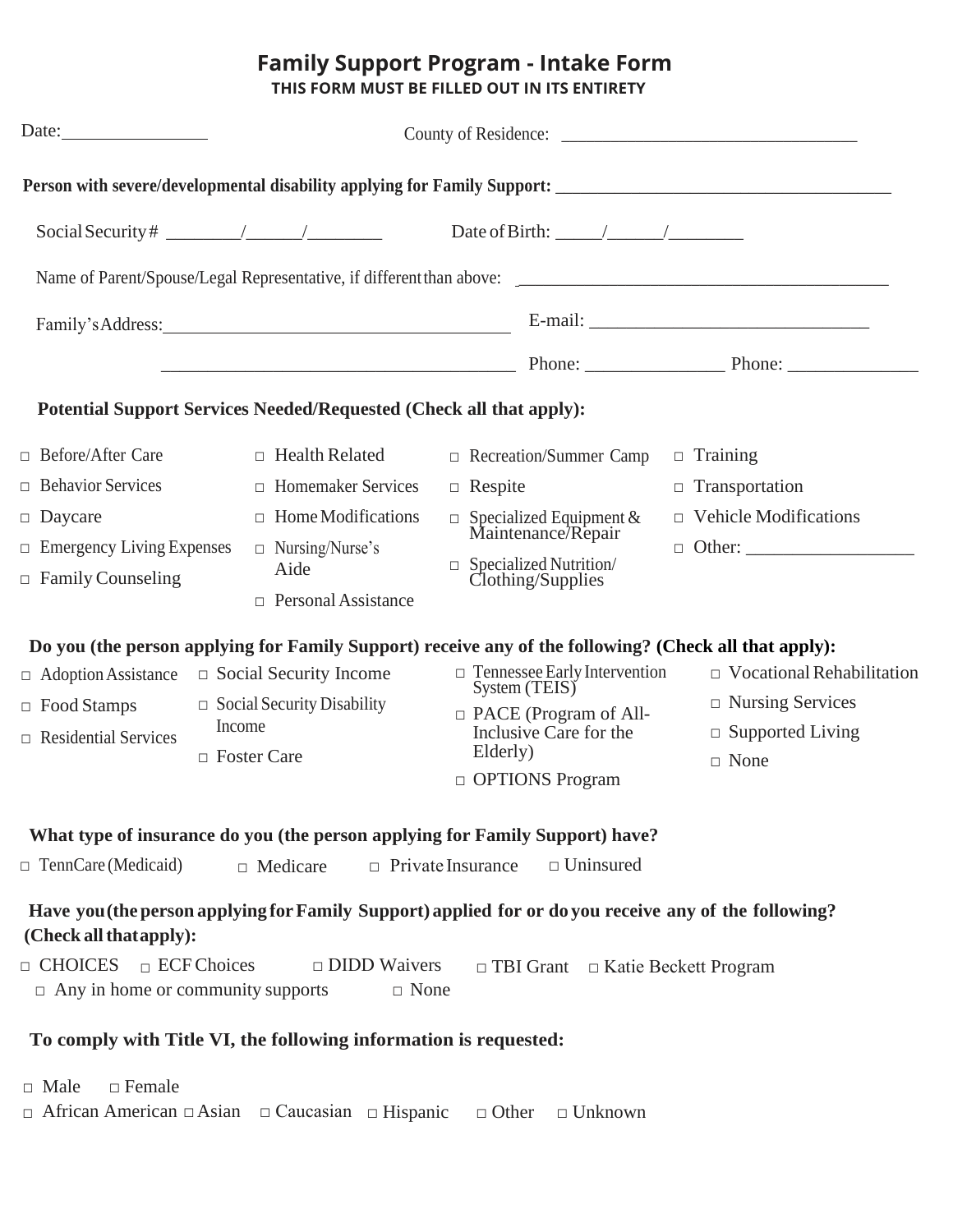# **Family Support Program - Intake Form**

**THIS FORM MUST BE FILLED OUT IN ITS ENTIRETY**

|                                                                                                                                                                              |                                                                                                                                                 | Family's Address: E-mail: E-mail:                                                                                                                                                                                                                             |                                                                                                                                                                                                                                |  |  |
|------------------------------------------------------------------------------------------------------------------------------------------------------------------------------|-------------------------------------------------------------------------------------------------------------------------------------------------|---------------------------------------------------------------------------------------------------------------------------------------------------------------------------------------------------------------------------------------------------------------|--------------------------------------------------------------------------------------------------------------------------------------------------------------------------------------------------------------------------------|--|--|
|                                                                                                                                                                              |                                                                                                                                                 |                                                                                                                                                                                                                                                               | Phone: Phone: Phone: Phone: Phone: Phone: Phone: Phone: Phone: Phone: Phone: Phone: Phone: Phone: Phone: Phone: Phone: Phone: Phone: Phone: Phone: Phone: Phone: Phone: Phone: Phone: Phone: Phone: Phone: Phone: Phone: Phone |  |  |
| <b>Potential Support Services Needed/Requested (Check all that apply):</b>                                                                                                   |                                                                                                                                                 |                                                                                                                                                                                                                                                               |                                                                                                                                                                                                                                |  |  |
| □ Before/After Care<br>$\Box$ Behavior Services<br>$\Box$ Daycare<br>$\Box$ Emergency Living Expenses<br>$\Box$ Family Counseling                                            | $\Box$ Health Related<br>$\Box$ Homemaker Services<br>$\Box$ Home Modifications<br>$\Box$ Nursing/Nurse's<br>Aide<br>$\Box$ Personal Assistance | $\Box$ Recreation/Summer Camp<br>$\Box$ Respite<br>$\Box$ Specialized Equipment & Maintenance/Repair<br>$\hfill \Box$ Specialized Nutrition/ Clothing/Supplies                                                                                                | $\Box$ Training<br>$\Box$ Transportation<br>$\Box$ Vehicle Modifications                                                                                                                                                       |  |  |
| $\Box$ Adoption Assistance<br>$\Box$ Food Stamps<br>$\Box$ Residential Services                                                                                              | $\Box$ Social Security Income<br>$\Box$ Social Security Disability<br>Income<br>$\Box$ Foster Care                                              | Do you (the person applying for Family Support) receive any of the following? (Check all that apply):<br>$\Box$ Tennessee Early Intervention<br>System (TEIS)<br>$\Box$ PACE (Program of All-<br>Inclusive Care for the<br>Elderly)<br>$\Box$ OPTIONS Program | $\Box$ Vocational Rehabilitation<br>$\Box$ Nursing Services<br>$\Box$ Supported Living<br>$\Box$ None                                                                                                                          |  |  |
| $\Box$ TennCare (Medicaid)                                                                                                                                                   | $\Box$ Medicare                                                                                                                                 | What type of insurance do you (the person applying for Family Support) have?<br>$\Box$ Uninsured<br>$\Box$ Private Insurance                                                                                                                                  |                                                                                                                                                                                                                                |  |  |
| (Check all that apply):<br>$\Box$ CHOICES $\Box$ ECF Choices<br>$\Box$ Any in home or community supports<br>To comply with Title VI, the following information is requested: | $\Box$ DIDD Waivers<br>$\Box$ None                                                                                                              | Have you (the person applying for Family Support) applied for or do you receive any of the following?<br>$\Box$ TBI Grant $\Box$ Katie Beckett Program                                                                                                        |                                                                                                                                                                                                                                |  |  |
| $\Box$ Female<br>$\Box$ Male<br>$\Box$ African American $\Box$ Asian $\Box$ Caucasian $\Box$ Hispanic                                                                        |                                                                                                                                                 | $\Box$ Other<br>$\Box$ Unknown                                                                                                                                                                                                                                |                                                                                                                                                                                                                                |  |  |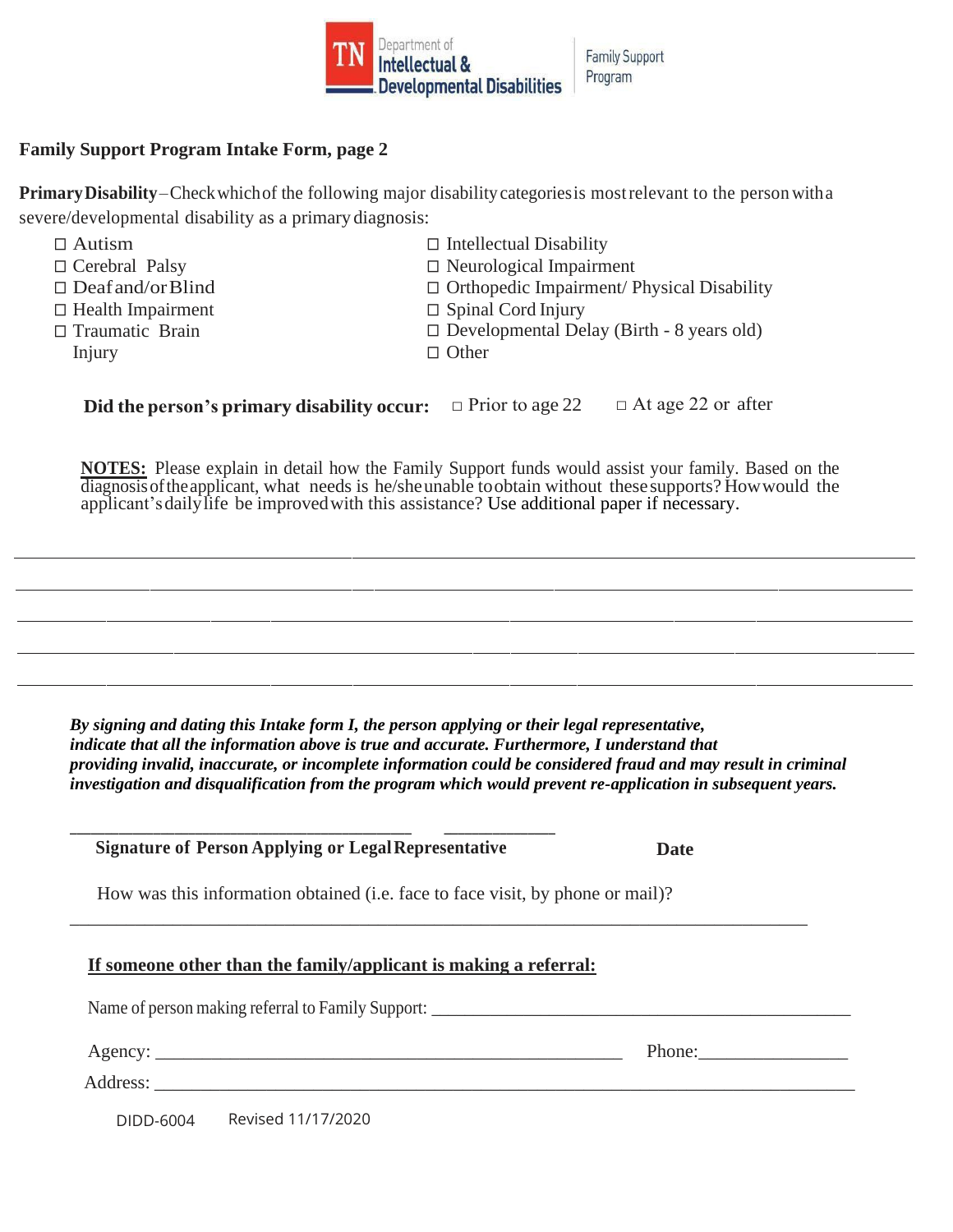

**Family Support** Program

#### **Family Support Program Intake Form, page 2**

**PrimaryDisability**–Checkwhichof the following major disability categoriesis mostrelevant to the person witha severe/developmental disability as a primary diagnosis:

| $\Box$ Autism            | $\Box$ Intellectual Disability                    |
|--------------------------|---------------------------------------------------|
| $\Box$ Cerebral Palsy    | $\Box$ Neurological Impairment                    |
| $\Box$ Deaf and/or Blind | $\Box$ Orthopedic Impairment/ Physical Disability |
| $\Box$ Health Impairment | $\Box$ Spinal Cord Injury                         |
| $\Box$ Traumatic Brain   | $\Box$ Developmental Delay (Birth - 8 years old)  |
| Injury                   | $\Box$ Other                                      |
|                          |                                                   |

**Did the person's primary disability occur:** □ Prior to age 22 □ At age 22 or after

**NOTES:** Please explain in detail how the Family Support funds would assist your family. Based on the diagnosisoftheapplicant, what needs is he/sheunable toobtain without thesesupports? Howwould the applicant'sdailylife be improvedwith this assistance? Use additional paper if necessary.

*By signing and dating this Intake form I, the person applying or their legal representative, indicate that all the information above is true and accurate. Furthermore, I understand that providing invalid, inaccurate, or incomplete information could be considered fraud and may result in criminal investigation and disqualification from the program which would prevent re-application in subsequent years.*

|                                                                                                                       | <b>Signature of Person Applying or Legal Representative</b> | Date                 |  |
|-----------------------------------------------------------------------------------------------------------------------|-------------------------------------------------------------|----------------------|--|
| How was this information obtained (i.e. face to face visit, by phone or mail)?                                        |                                                             |                      |  |
| If someone other than the family/applicant is making a referral:<br>Name of person making referral to Family Support: |                                                             |                      |  |
|                                                                                                                       |                                                             | Phone: $\frac{1}{2}$ |  |
|                                                                                                                       | DIDD-6004 Revised 11/17/2020                                |                      |  |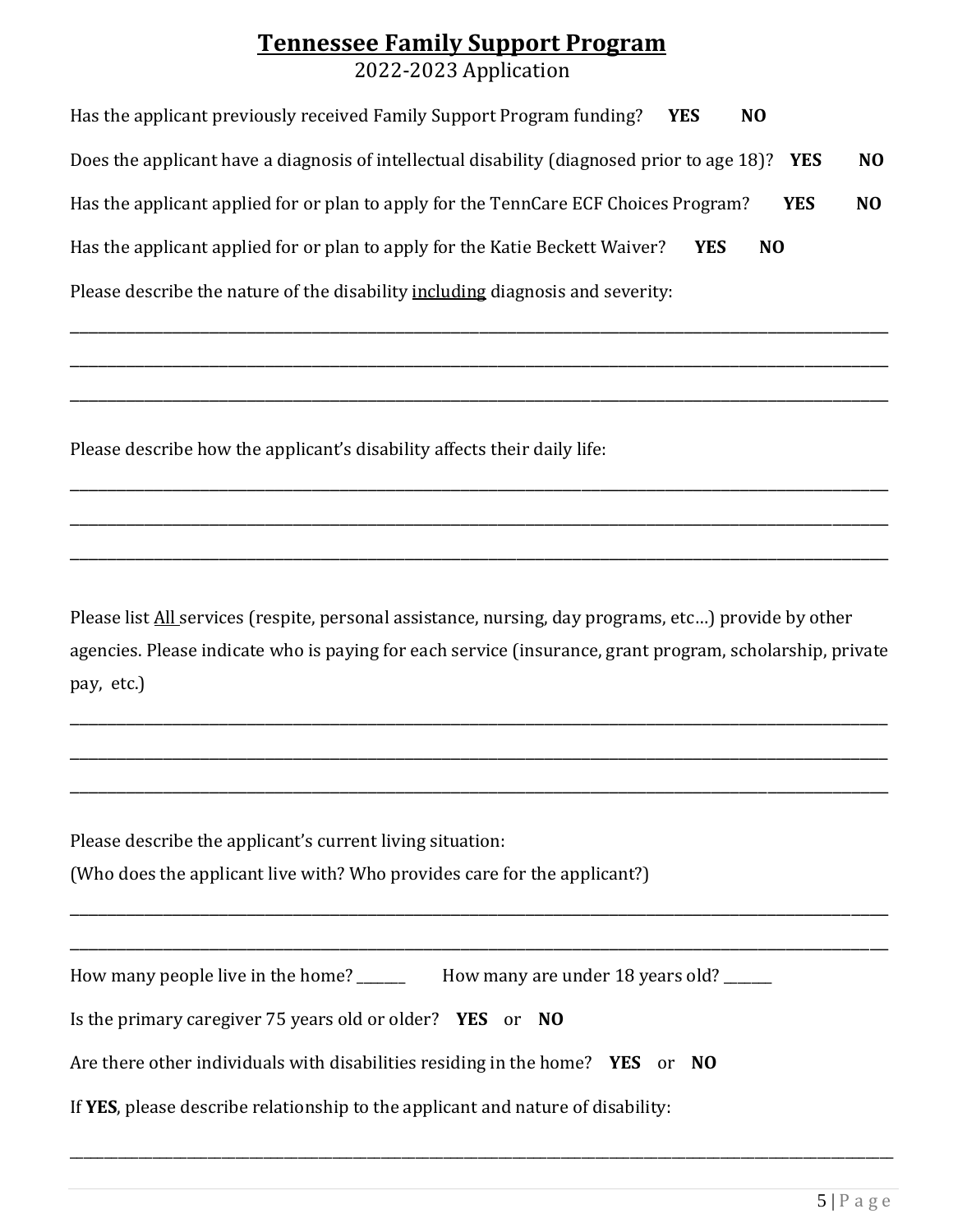# **Tennessee Family Support Program** 2022-2023 Application

| Has the applicant previously received Family Support Program funding?<br>N <sub>0</sub><br><b>YES</b>        |                |
|--------------------------------------------------------------------------------------------------------------|----------------|
| Does the applicant have a diagnosis of intellectual disability (diagnosed prior to age 18)? YES              | N <sub>O</sub> |
| Has the applicant applied for or plan to apply for the TennCare ECF Choices Program?<br><b>YES</b>           | N <sub>0</sub> |
| Has the applicant applied for or plan to apply for the Katie Beckett Waiver?<br><b>YES</b><br>N <sub>O</sub> |                |
| Please describe the nature of the disability including diagnosis and severity:                               |                |

\_\_\_\_\_\_\_\_\_\_\_\_\_\_\_\_\_\_\_\_\_\_\_\_\_\_\_\_\_\_\_\_\_\_\_\_\_\_\_\_\_\_\_\_\_\_\_\_\_\_\_\_\_\_\_\_\_\_\_\_\_\_\_\_\_\_\_\_\_\_\_\_\_\_\_\_\_\_\_\_\_\_\_\_\_\_\_\_

\_\_\_\_\_\_\_\_\_\_\_\_\_\_\_\_\_\_\_\_\_\_\_\_\_\_\_\_\_\_\_\_\_\_\_\_\_\_\_\_\_\_\_\_\_\_\_\_\_\_\_\_\_\_\_\_\_\_\_\_\_\_\_\_\_\_\_\_\_\_\_\_\_\_\_\_\_\_\_\_\_\_\_\_\_\_\_\_

\_\_\_\_\_\_\_\_\_\_\_\_\_\_\_\_\_\_\_\_\_\_\_\_\_\_\_\_\_\_\_\_\_\_\_\_\_\_\_\_\_\_\_\_\_\_\_\_\_\_\_\_\_\_\_\_\_\_\_\_\_\_\_\_\_\_\_\_\_\_\_\_\_\_\_\_\_\_\_\_\_\_\_\_\_\_\_\_

\_\_\_\_\_\_\_\_\_\_\_\_\_\_\_\_\_\_\_\_\_\_\_\_\_\_\_\_\_\_\_\_\_\_\_\_\_\_\_\_\_\_\_\_\_\_\_\_\_\_\_\_\_\_\_\_\_\_\_\_\_\_\_\_\_\_\_\_\_\_\_\_\_\_\_\_\_\_\_\_\_\_\_\_\_\_\_\_

\_\_\_\_\_\_\_\_\_\_\_\_\_\_\_\_\_\_\_\_\_\_\_\_\_\_\_\_\_\_\_\_\_\_\_\_\_\_\_\_\_\_\_\_\_\_\_\_\_\_\_\_\_\_\_\_\_\_\_\_\_\_\_\_\_\_\_\_\_\_\_\_\_\_\_\_\_\_\_\_\_\_\_\_\_\_\_\_

\_\_\_\_\_\_\_\_\_\_\_\_\_\_\_\_\_\_\_\_\_\_\_\_\_\_\_\_\_\_\_\_\_\_\_\_\_\_\_\_\_\_\_\_\_\_\_\_\_\_\_\_\_\_\_\_\_\_\_\_\_\_\_\_\_\_\_\_\_\_\_\_\_\_\_\_\_\_\_\_\_\_\_\_\_\_\_\_

Please describe how the applicant's disability affects their daily life:

Please list **All** services (respite, personal assistance, nursing, day programs, etc...) provide by other agencies. Please indicate who is paying for each service (insurance, grant program, scholarship, private pay, etc.)

\_\_\_\_\_\_\_\_\_\_\_\_\_\_\_\_\_\_\_\_\_\_\_\_\_\_\_\_\_\_\_\_\_\_\_\_\_\_\_\_\_\_\_\_\_\_\_\_\_\_\_\_\_\_\_\_\_\_\_\_\_\_\_\_\_\_\_\_\_\_\_\_\_\_\_\_\_\_\_\_\_\_\_\_\_\_\_\_

\_\_\_\_\_\_\_\_\_\_\_\_\_\_\_\_\_\_\_\_\_\_\_\_\_\_\_\_\_\_\_\_\_\_\_\_\_\_\_\_\_\_\_\_\_\_\_\_\_\_\_\_\_\_\_\_\_\_\_\_\_\_\_\_\_\_\_\_\_\_\_\_\_\_\_\_\_\_\_\_\_\_\_\_\_\_\_\_

\_\_\_\_\_\_\_\_\_\_\_\_\_\_\_\_\_\_\_\_\_\_\_\_\_\_\_\_\_\_\_\_\_\_\_\_\_\_\_\_\_\_\_\_\_\_\_\_\_\_\_\_\_\_\_\_\_\_\_\_\_\_\_\_\_\_\_\_\_\_\_\_\_\_\_\_\_\_\_\_\_\_\_\_\_\_\_\_

\_\_\_\_\_\_\_\_\_\_\_\_\_\_\_\_\_\_\_\_\_\_\_\_\_\_\_\_\_\_\_\_\_\_\_\_\_\_\_\_\_\_\_\_\_\_\_\_\_\_\_\_\_\_\_\_\_\_\_\_\_\_\_\_\_\_\_\_\_\_\_\_\_\_\_\_\_\_\_\_\_\_\_\_\_\_\_\_

\_\_\_\_\_\_\_\_\_\_\_\_\_\_\_\_\_\_\_\_\_\_\_\_\_\_\_\_\_\_\_\_\_\_\_\_\_\_\_\_\_\_\_\_\_\_\_\_\_\_\_\_\_\_\_\_\_\_\_\_\_\_\_\_\_\_\_\_\_\_\_\_\_\_\_\_\_\_\_\_\_\_\_\_\_\_\_\_

\_\_\_\_\_\_\_\_\_\_\_\_\_\_\_\_\_\_\_\_\_\_\_\_\_\_\_\_\_\_\_\_\_\_\_\_\_\_\_\_\_\_\_\_\_\_\_\_\_\_\_\_\_\_\_\_\_\_\_\_\_\_\_\_\_\_\_\_\_\_\_\_\_\_\_\_\_\_\_\_\_\_\_\_\_\_\_\_\_\_\_\_\_\_\_\_\_\_\_\_\_\_\_\_\_\_\_\_\_\_\_\_\_\_\_\_\_\_\_

Please describe the applicant's current living situation: (Who does the applicant live with? Who provides care for the applicant?)

| How many people live in the home? | How many are under 18 years old? |
|-----------------------------------|----------------------------------|
|-----------------------------------|----------------------------------|

Is the primary caregiver 75 years old or older? **YES** or **NO**

Are there other individuals with disabilities residing in the home? **YES** or **NO**

If **YES**, please describe relationship to the applicant and nature of disability: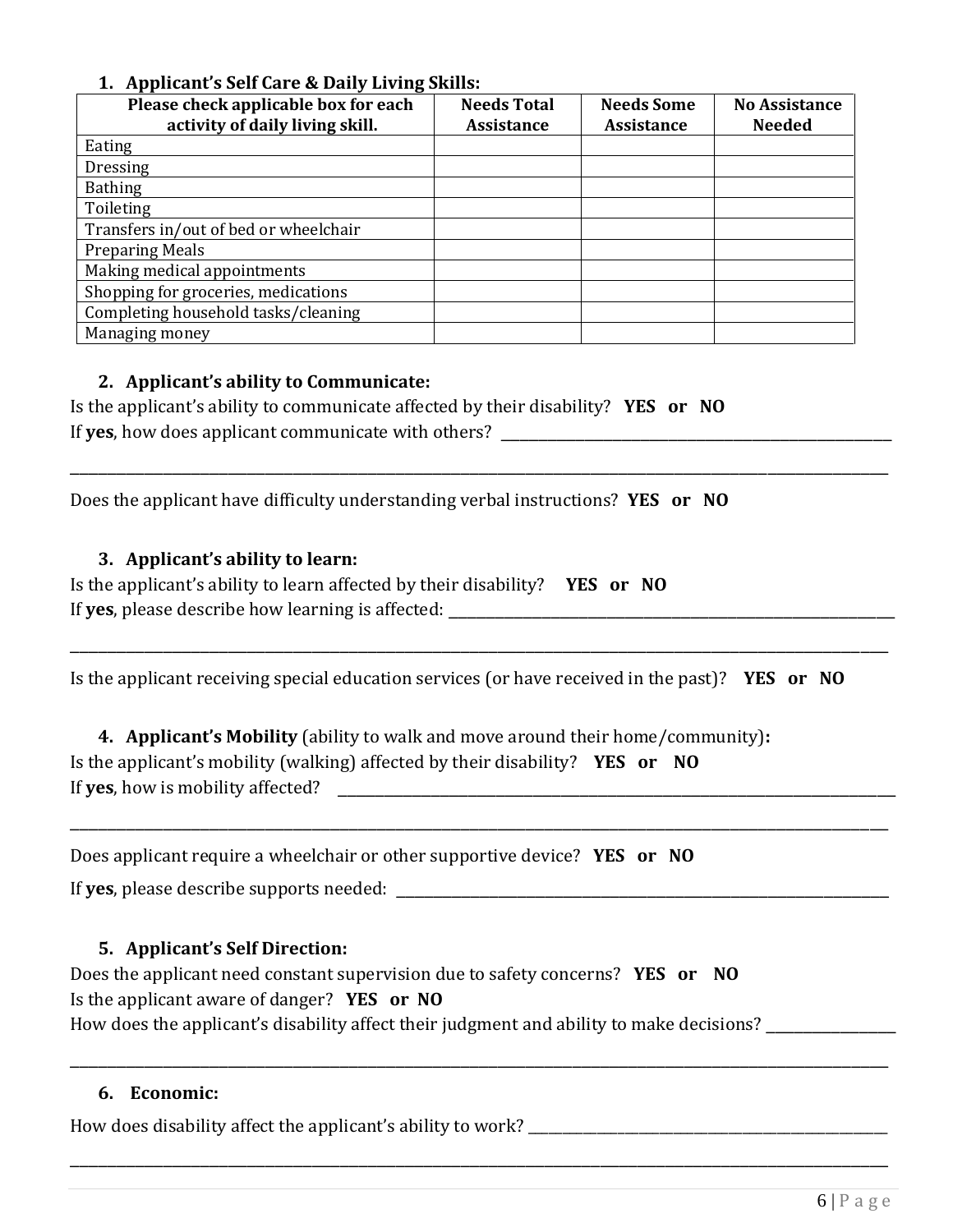### **1. Applicant's Self Care & Daily Living Skills:**

| Please check applicable box for each<br>activity of daily living skill. | <b>Needs Total</b><br><b>Assistance</b> | <b>Needs Some</b><br><b>Assistance</b> | <b>No Assistance</b><br><b>Needed</b> |
|-------------------------------------------------------------------------|-----------------------------------------|----------------------------------------|---------------------------------------|
| Eating                                                                  |                                         |                                        |                                       |
| <b>Dressing</b>                                                         |                                         |                                        |                                       |
| <b>Bathing</b>                                                          |                                         |                                        |                                       |
| Toileting                                                               |                                         |                                        |                                       |
| Transfers in/out of bed or wheelchair                                   |                                         |                                        |                                       |
| <b>Preparing Meals</b>                                                  |                                         |                                        |                                       |
| Making medical appointments                                             |                                         |                                        |                                       |
| Shopping for groceries, medications                                     |                                         |                                        |                                       |
| Completing household tasks/cleaning                                     |                                         |                                        |                                       |
| Managing money                                                          |                                         |                                        |                                       |

### **2. Applicant's ability to Communicate:**

Is the applicant's ability to communicate affected by their disability? **YES or NO** If **yes**, how does applicant communicate with others? \_\_\_\_\_\_\_\_\_\_\_\_\_\_\_\_\_\_\_\_\_\_\_\_\_\_\_\_\_\_\_\_\_\_\_\_\_\_\_\_\_\_

Does the applicant have difficulty understanding verbal instructions? **YES or NO**

### **3. Applicant's ability to learn:**

Is the applicant's ability to learn affected by their disability? **YES or NO** If **yes**, please describe how learning is affected: \_\_\_\_\_\_\_\_\_\_\_\_\_\_\_\_\_\_\_\_\_\_\_\_\_\_\_\_\_\_\_\_\_\_\_\_\_\_\_\_\_\_\_\_\_\_\_\_

Is the applicant receiving special education services (or have received in the past)? **YES or NO**

\_\_\_\_\_\_\_\_\_\_\_\_\_\_\_\_\_\_\_\_\_\_\_\_\_\_\_\_\_\_\_\_\_\_\_\_\_\_\_\_\_\_\_\_\_\_\_\_\_\_\_\_\_\_\_\_\_\_\_\_\_\_\_\_\_\_\_\_\_\_\_\_\_\_\_\_\_\_\_\_\_\_\_\_\_\_\_\_

\_\_\_\_\_\_\_\_\_\_\_\_\_\_\_\_\_\_\_\_\_\_\_\_\_\_\_\_\_\_\_\_\_\_\_\_\_\_\_\_\_\_\_\_\_\_\_\_\_\_\_\_\_\_\_\_\_\_\_\_\_\_\_\_\_\_\_\_\_\_\_\_\_\_\_\_\_\_\_\_\_\_\_\_\_\_\_\_

\_\_\_\_\_\_\_\_\_\_\_\_\_\_\_\_\_\_\_\_\_\_\_\_\_\_\_\_\_\_\_\_\_\_\_\_\_\_\_\_\_\_\_\_\_\_\_\_\_\_\_\_\_\_\_\_\_\_\_\_\_\_\_\_\_\_\_\_\_\_\_\_\_\_\_\_\_\_\_\_\_\_\_\_\_\_\_\_

\_\_\_\_\_\_\_\_\_\_\_\_\_\_\_\_\_\_\_\_\_\_\_\_\_\_\_\_\_\_\_\_\_\_\_\_\_\_\_\_\_\_\_\_\_\_\_\_\_\_\_\_\_\_\_\_\_\_\_\_\_\_\_\_\_\_\_\_\_\_\_\_\_\_\_\_\_\_\_\_\_\_\_\_\_\_\_\_

\_\_\_\_\_\_\_\_\_\_\_\_\_\_\_\_\_\_\_\_\_\_\_\_\_\_\_\_\_\_\_\_\_\_\_\_\_\_\_\_\_\_\_\_\_\_\_\_\_\_\_\_\_\_\_\_\_\_\_\_\_\_\_\_\_\_\_\_\_\_\_\_\_\_\_\_\_\_\_\_\_\_\_\_\_\_\_\_

**4. Applicant's Mobility** (ability to walk and move around their home/community)**:** Is the applicant's mobility (walking) affected by their disability? **YES or NO** If **yes**, how is mobility affected?

Does applicant require a wheelchair or other supportive device? **YES or NO**

If yes, please describe supports needed: **Example 20** and the supports needed:

### **5. Applicant's Self Direction:**

Does the applicant need constant supervision due to safety concerns? **YES or NO** Is the applicant aware of danger? **YES or NO** How does the applicant's disability affect their judgment and ability to make decisions?

#### **6. Economic:**

How does disability affect the applicant's ability to work? \_\_\_\_\_\_\_\_\_\_\_\_\_\_\_\_\_\_\_\_\_\_\_\_\_\_\_\_\_\_\_\_\_\_\_\_\_\_\_\_\_\_\_\_\_\_\_\_\_\_\_\_